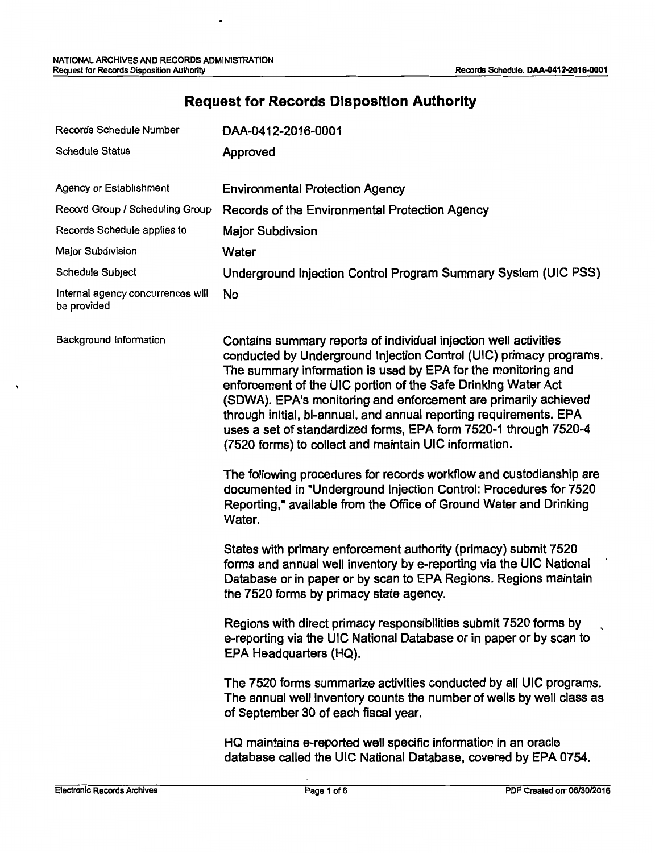# **Request for Records Disposition Authority**

| Records Schedule Number                          | DAA-0412-2016-0001                                                                                                                                                                                                                                                                                                                                                                                                                                                                                                                                                                                                                                                                                                                                                         |  |  |
|--------------------------------------------------|----------------------------------------------------------------------------------------------------------------------------------------------------------------------------------------------------------------------------------------------------------------------------------------------------------------------------------------------------------------------------------------------------------------------------------------------------------------------------------------------------------------------------------------------------------------------------------------------------------------------------------------------------------------------------------------------------------------------------------------------------------------------------|--|--|
| <b>Schedule Status</b>                           | Approved                                                                                                                                                                                                                                                                                                                                                                                                                                                                                                                                                                                                                                                                                                                                                                   |  |  |
|                                                  |                                                                                                                                                                                                                                                                                                                                                                                                                                                                                                                                                                                                                                                                                                                                                                            |  |  |
| Agency or Establishment                          | <b>Environmental Protection Agency</b>                                                                                                                                                                                                                                                                                                                                                                                                                                                                                                                                                                                                                                                                                                                                     |  |  |
| Record Group / Scheduling Group                  | Records of the Environmental Protection Agency                                                                                                                                                                                                                                                                                                                                                                                                                                                                                                                                                                                                                                                                                                                             |  |  |
| Records Schedule applies to                      | <b>Major Subdivsion</b>                                                                                                                                                                                                                                                                                                                                                                                                                                                                                                                                                                                                                                                                                                                                                    |  |  |
| Major Subdivision                                | Water                                                                                                                                                                                                                                                                                                                                                                                                                                                                                                                                                                                                                                                                                                                                                                      |  |  |
| Schedule Subject                                 | Underground Injection Control Program Summary System (UIC PSS)                                                                                                                                                                                                                                                                                                                                                                                                                                                                                                                                                                                                                                                                                                             |  |  |
| Internal agency concurrences will<br>be provided | No                                                                                                                                                                                                                                                                                                                                                                                                                                                                                                                                                                                                                                                                                                                                                                         |  |  |
| Background Information                           | Contains summary reports of individual injection well activities<br>conducted by Underground Injection Control (UIC) primacy programs.<br>The summary information is used by EPA for the monitoring and<br>enforcement of the UIC portion of the Safe Drinking Water Act<br>(SDWA). EPA's monitoring and enforcement are primarily achieved<br>through initial, bi-annual, and annual reporting requirements. EPA<br>uses a set of standardized forms, EPA form 7520-1 through 7520-4<br>(7520 forms) to collect and maintain UIC information.<br>The following procedures for records workflow and custodianship are<br>documented in "Underground Injection Control: Procedures for 7520<br>Reporting," available from the Office of Ground Water and Drinking<br>Water. |  |  |
|                                                  | States with primary enforcement authority (primacy) submit 7520<br>forms and annual well inventory by e-reporting via the UIC National<br>Database or in paper or by scan to EPA Regions. Regions maintain<br>the 7520 forms by primacy state agency.                                                                                                                                                                                                                                                                                                                                                                                                                                                                                                                      |  |  |
|                                                  | Regions with direct primacy responsibilities submit 7520 forms by<br>e-reporting via the UIC National Database or in paper or by scan to<br>EPA Headquarters (HQ).                                                                                                                                                                                                                                                                                                                                                                                                                                                                                                                                                                                                         |  |  |
|                                                  | The 7520 forms summarize activities conducted by all UIC programs.<br>The annual well inventory counts the number of wells by well class as<br>of September 30 of each fiscal year.                                                                                                                                                                                                                                                                                                                                                                                                                                                                                                                                                                                        |  |  |
|                                                  | HQ maintains e-reported well specific information in an oracle<br>database called the UIC National Database, covered by EPA 0754.                                                                                                                                                                                                                                                                                                                                                                                                                                                                                                                                                                                                                                          |  |  |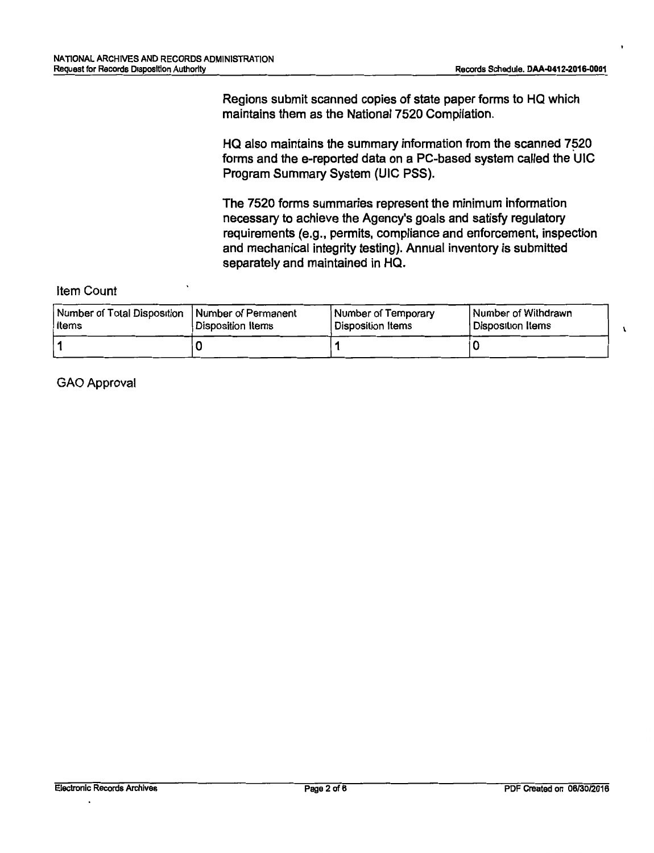$\mathbf{I}$ 

Regions submit scanned copies of state paper forms to HQ which maintains them as the National 7520 Compilation.

HQ also maintains the summary information from the scanned 7520 forms and the e-reported data on a PC-based system called the UIC Program Summary System (UIC PSS).

The 7520 forms summaries represent the minimum information necessary to achieve the Agency's goals and satisfy regulatory requirements (e.g., permits, compliance and enforcement, inspection and mechanical integrity testing). Annual inventory is submitted separately and maintained in HQ.

#### Item Count

| Number of Total Disposition   Number of Permanent | Disposition Items | <b>Number of Temporary</b> | Number of Withdrawn |
|---------------------------------------------------|-------------------|----------------------------|---------------------|
| l Items                                           |                   | Disposition Items          | l Disposition Items |
|                                                   |                   |                            |                     |

GAO Approval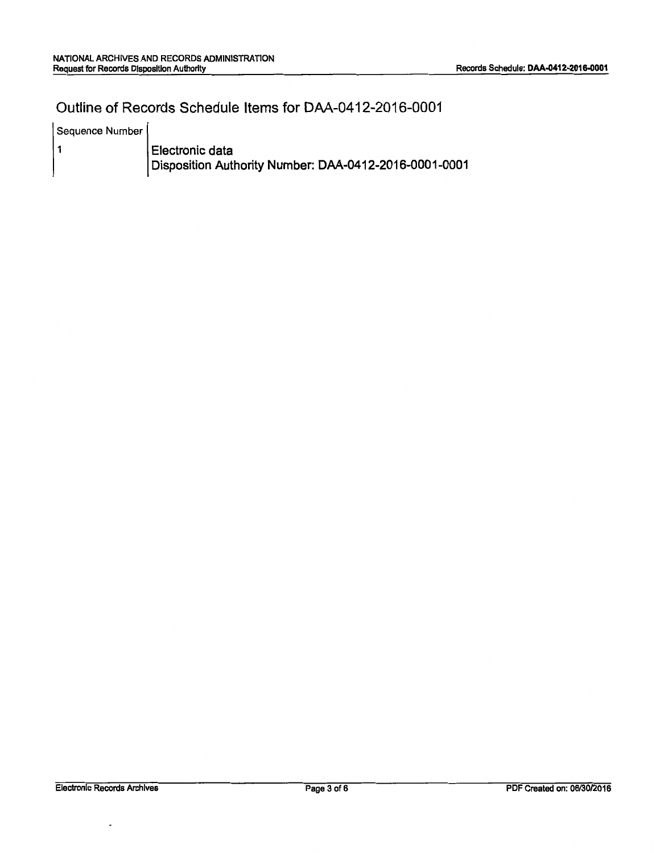### Outline of Records Schedule Items for DAA-0412-2016-0001

| Sequence Number |                                                       |
|-----------------|-------------------------------------------------------|
|                 | Electronic data                                       |
|                 | Disposition Authority Number: DAA-0412-2016-0001-0001 |

 $\overline{\phantom{a}}$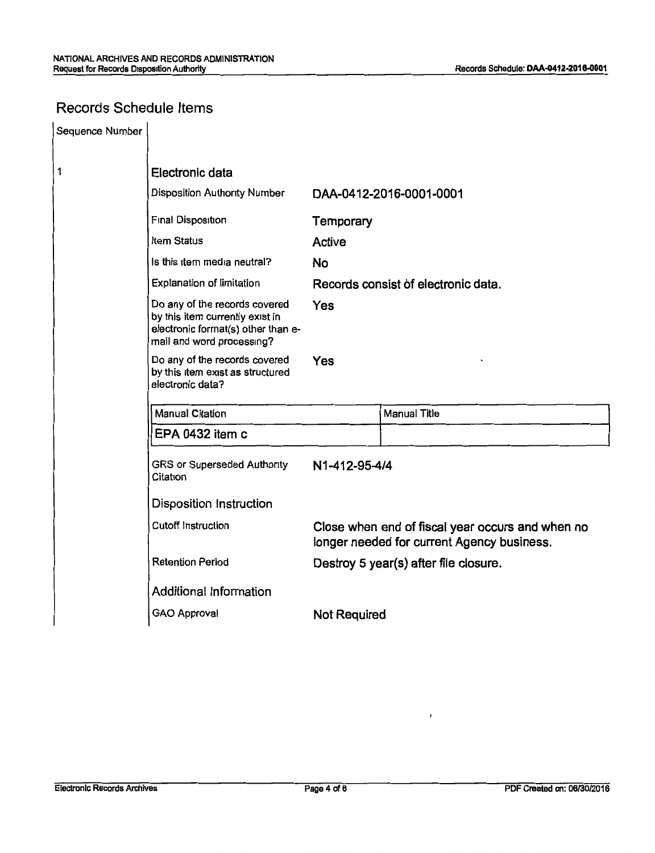## Records Schedule Items

| Sequence Number |                                                                                                                                     |                                     |                                                                                                |  |  |
|-----------------|-------------------------------------------------------------------------------------------------------------------------------------|-------------------------------------|------------------------------------------------------------------------------------------------|--|--|
| 1               | Electronic data                                                                                                                     |                                     |                                                                                                |  |  |
|                 | Disposition Authority Number                                                                                                        | DAA-0412-2016-0001-0001             |                                                                                                |  |  |
|                 | Final Disposition                                                                                                                   | Temporary                           |                                                                                                |  |  |
|                 | Item Status                                                                                                                         | Active                              |                                                                                                |  |  |
|                 | Is this item media neutral?                                                                                                         | <b>No</b>                           |                                                                                                |  |  |
|                 | Explanation of limitation                                                                                                           | Records consist of electronic data. |                                                                                                |  |  |
|                 | Do any of the records covered<br>by this item currently exist in<br>electronic format(s) other than e-<br>mail and word processing? | Yes                                 |                                                                                                |  |  |
|                 | Do any of the records covered<br>by this item exist as structured<br>electronic data?                                               | Yes                                 |                                                                                                |  |  |
|                 | Manual Citation                                                                                                                     |                                     | <b>Manual Title</b>                                                                            |  |  |
|                 | EPA 0432 item c                                                                                                                     |                                     |                                                                                                |  |  |
|                 | <b>GRS or Superseded Authority</b><br>Citation                                                                                      | N1-412-95-4/4                       |                                                                                                |  |  |
|                 | <b>Disposition Instruction</b>                                                                                                      |                                     |                                                                                                |  |  |
|                 | <b>Cutoff Instruction</b>                                                                                                           |                                     | Close when end of fiscal year occurs and when no<br>longer needed for current Agency business. |  |  |
|                 | <b>Retention Period</b>                                                                                                             |                                     | Destroy 5 year(s) after file closure.                                                          |  |  |
|                 | Additional Information                                                                                                              |                                     |                                                                                                |  |  |
|                 | <b>GAO Approval</b><br><b>Not Required</b>                                                                                          |                                     |                                                                                                |  |  |

 $\lambda$